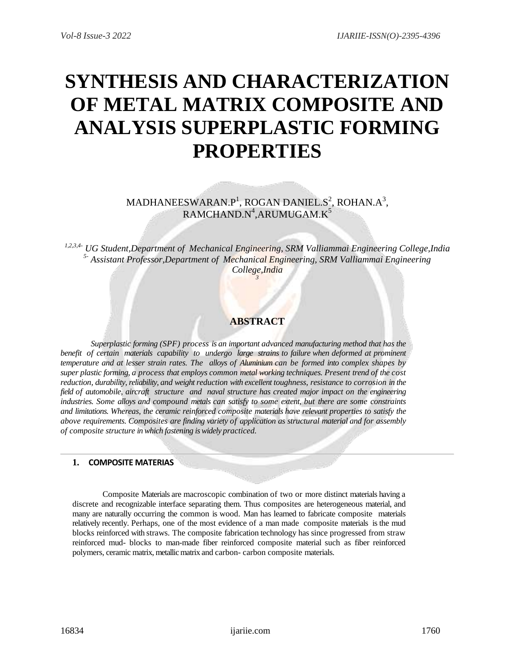# **SYNTHESIS AND CHARACTERIZATION OF METAL MATRIX COMPOSITE AND ANALYSIS SUPERPLASTIC FORMING PROPERTIES**

MADHANEESWARAN.P<sup>1</sup>, ROGAN DANIEL.S<sup>2</sup>, ROHAN.A<sup>3</sup>,  $\mathsf{RAMCHAND}.\mathsf{N}^4$ , ARUMUGAM. $\mathsf{K}^5$ 

*1,2,3,4- UG Student,Department of Mechanical Engineering, SRM Valliammai Engineering College,India 5- Assistant Professor,Department of Mechanical Engineering, SRM Valliammai Engineering College,India 3*

## **ABSTRACT**

*Superplastic forming (SPF) process is an important advanced manufacturing method that has the benefit of certain materials capability to undergo large strains to failure when deformed at prominent temperature and at lesser strain rates. The alloys of Aluminium can be formed into complex shapes by super plastic forming, a process that employs common metal working techniques. Present trend of the cost reduction, durability, reliability, and weight reduction with excellent toughness, resistance to corrosion in the field of automobile, aircraft structure and naval structure has created major impact on the engineering industries. Some alloys and compound metals can satisfy to some extent, but there are some constraints and limitations. Whereas, the ceramic reinforced composite materials have relevant properties to satisfy the above requirements. Composites are finding variety of application as structural material and for assembly of composite structure in which fastening is widely practiced.*

## **1. COMPOSITE MATERIAS**

Composite Materials are macroscopic combination of two or more distinct materials having a discrete and recognizable interface separating them. Thus composites are heterogeneous material, and many are naturally occurring the common is wood. Man has learned to fabricate composite materials relatively recently. Perhaps, one of the most evidence of a man made composite materials is the mud blocks reinforced with straws. The composite fabrication technology has since progressed from straw reinforced mud- blocks to man-made fiber reinforced composite material such as fiber reinforced polymers, ceramic matrix, metallic matrix and carbon- carbon composite materials.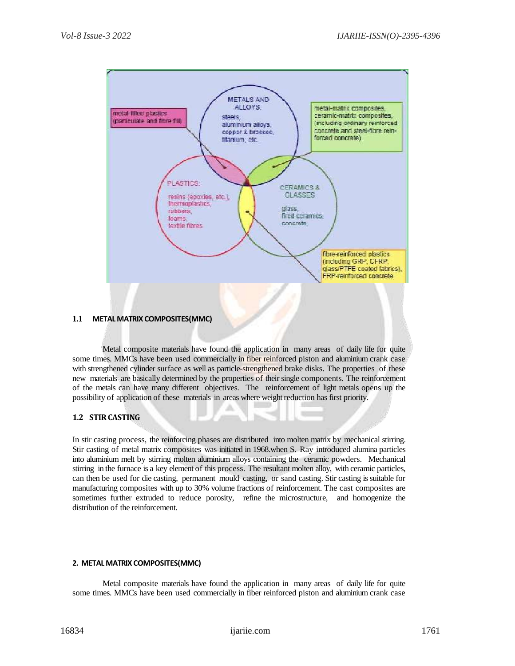

**1.1 METAL MATRIX COMPOSITES(MMC)**

Metal composite materials have found the application in many areas of daily life for quite some times. MMCs have been used commercially in fiber reinforced piston and aluminium crank case with strengthened cylinder surface as well as particle-strengthened brake disks. The properties of these new materials are basically determined by the properties of their single components. The reinforcement of the metals can have many different objectives. The reinforcement of light metals opens up the possibility of application of these materials in areas where weight reduction has first priority.

## **1.2 STIR CASTING**

In stir casting process, the reinforcing phases are distributed into molten matrix by mechanical stirring. Stir casting of metal matrix composites was initiated in 1968.when S. Ray introduced alumina particles into aluminium melt by stirring molten aluminium alloys containing the ceramic powders. Mechanical stirring in the furnace is a key element of this process. The resultant molten alloy, with ceramic particles, can then be used for die casting, permanent mould casting, or sand casting. Stir casting is suitable for manufacturing composites with up to 30% volume fractions of reinforcement. The cast composites are sometimes further extruded to reduce porosity, refine the microstructure, and homogenize the distribution of the reinforcement.

#### **2. METAL MATRIX COMPOSITES(MMC)**

Metal composite materials have found the application in many areas of daily life for quite some times. MMCs have been used commercially in fiber reinforced piston and aluminium crank case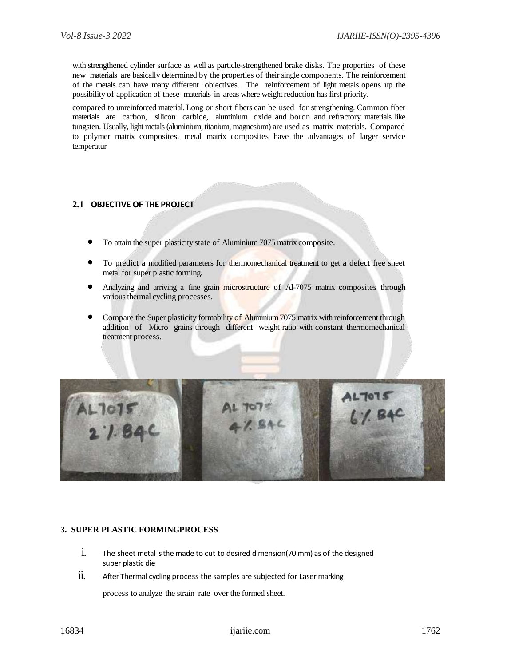with strengthened cylinder surface as well as particle-strengthened brake disks. The properties of these new materials are basically determined by the properties of their single components. The reinforcement of the metals can have many different objectives. The reinforcement of light metals opens up the possibility of application of these materials in areas where weight reduction has first priority.

compared to unreinforced material. Long or short fibers can be used for strengthening. Common fiber materials are carbon, silicon carbide, aluminium oxide and boron and refractory materials like tungsten. Usually, light metals (aluminium, titanium, magnesium) are used as matrix materials. Compared to polymer matrix composites, metal matrix composites have the advantages of larger service temperatur

## **2.1 OBJECTIVE OF THE PROJECT**

- To attain the super plasticity state of Aluminium 7075 matrix composite.
- To predict a modified parameters for thermomechanical treatment to get a defect free sheet metal for super plastic forming.
- Analyzing and arriving a fine grain microstructure of Al-7075 matrix composites through various thermal cycling processes.
- Compare the Super plasticity formability of Aluminium 7075 matrix with reinforcement through addition of Micro grains through different weight ratio with constant thermomechanical treatment process.



#### **3. SUPER PLASTIC FORMINGPROCESS**

- i. The sheet metal is the made to cut to desired dimension(70 mm) as of the designed super plastic die
- $ii.$  After Thermal cycling process the samples are subjected for Laser marking

process to analyze the strain rate over the formed sheet.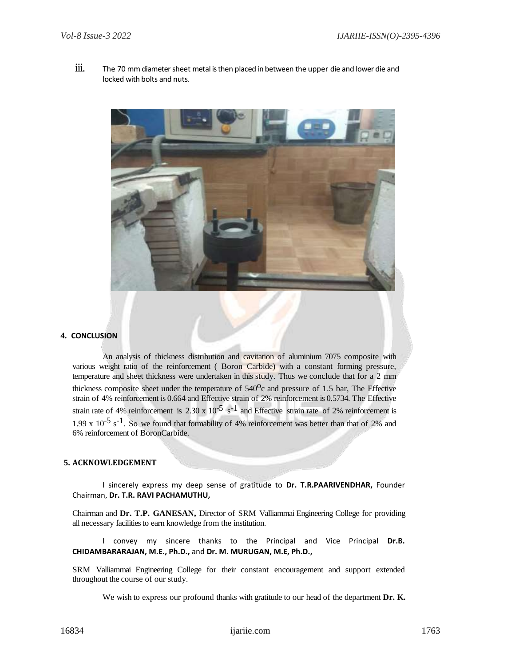iii. The 70 mm diameter sheet metal is then placed in between the upper die and lower die and locked with bolts and nuts.



#### **4. CONCLUSION**

An analysis of thickness distribution and cavitation of aluminium 7075 composite with various weight ratio of the reinforcement ( Boron Carbide) with a constant forming pressure, temperature and sheet thickness were undertaken in this study. Thus we conclude that for a 2 mm thickness composite sheet under the temperature of  $540^{\circ}$ c and pressure of 1.5 bar, The Effective strain of 4% reinforcement is 0.664 and Effective strain of 2% reinforcement is 0.5734. The Effective strain rate of 4% reinforcement is 2.30 x  $10^{-5}$  s<sup>-1</sup> and Effective strain rate of 2% reinforcement is 1.99 x  $10^{-5}$  s<sup>-1</sup>. So we found that formability of 4% reinforcement was better than that of 2% and 6% reinforcement of BoronCarbide.

## **5. ACKNOWLEDGEMENT**

I sincerely express my deep sense of gratitude to **Dr. T.R.PAARIVENDHAR,** Founder Chairman, **Dr. T.R. RAVI PACHAMUTHU,**

Chairman and **Dr. T.P. GANESAN,** Director of SRM Valliammai Engineering College for providing all necessary facilities to earn knowledge from the institution.

I convey my sincere thanks to the Principal and Vice Principal **Dr.B. CHIDAMBARARAJAN, M.E., Ph.D.,** and **Dr. M. MURUGAN, M.E, Ph.D.,**

SRM Valliammai Engineering College for their constant encouragement and support extended throughout the course of our study.

We wish to express our profound thanks with gratitude to our head of the department **Dr. K.**